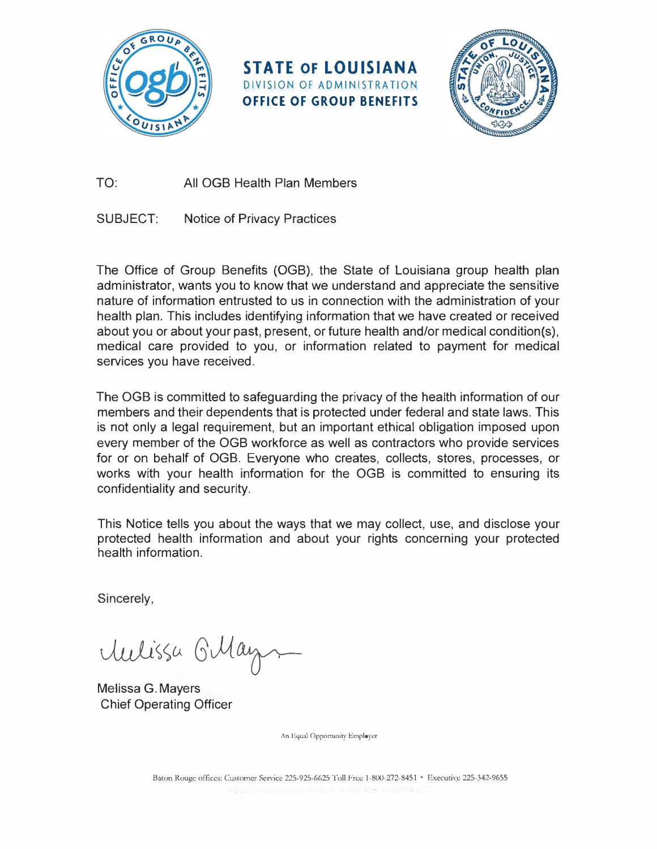

**STATE OF LOUISIANA**  DIVISION OF ADMINISTRATION **OFFICE OF GROUP BENEFITS** 



TO: All 0GB Health Plan Members

SUBJECT: Notice of Privacy Practices

The Office of Group Benefits (0GB), the State of Louisiana group health plan administrator, wants you to know that we understand and appreciate the sensitive nature of information entrusted to us in connection with the administration of your health plan. This includes identifying information that we have created or received about you or about your past, present, or future health and/or medical condition(s), medical care provided to you, or information related to payment for medical services you have received.

The 0GB is committed to safeguarding the privacy of the health information of our members and their dependents that is protected under federal and state laws. This is not only a legal requirement, but an important ethical obligation imposed upon every member of the 0GB workforce as well as contractors who provide services for or on behalf of 0GB. Everyone who creates, collects, stores, processes, or works with your health information for the 0GB is committed to ensuring its confidentiality and security.

This Notice tells you about the ways that we may collect, use, and disclose your protected health information and about your rights concerning your protected health information.

Sincerely,

Mulissa Gillays

Melissa G. Mayers Chief Operating Officer

An Equal Opportunity Employer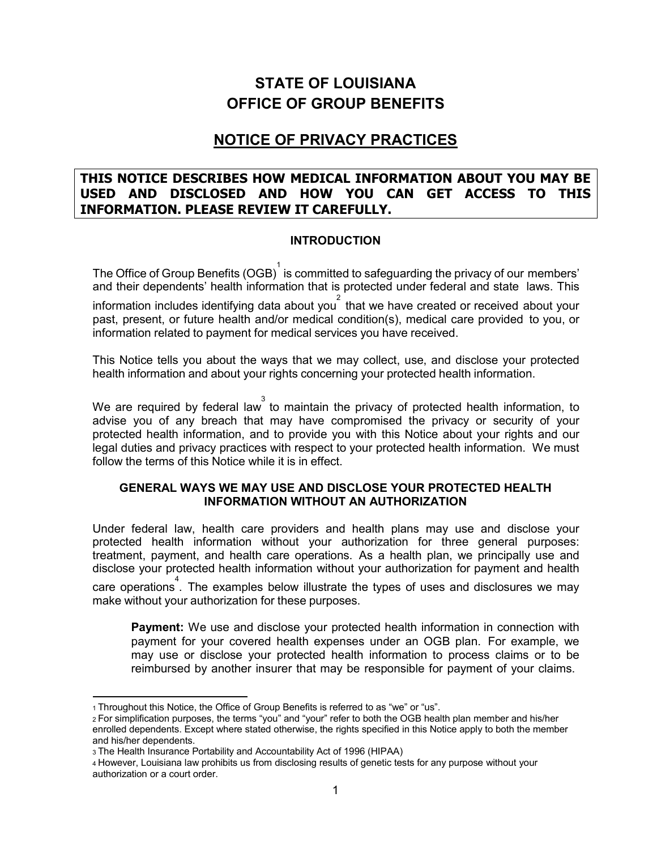# **STATE OF LOUISIANA OFFICE OF GROUP BENEFITS**

## **NOTICE OF PRIVACY PRACTICES**

## THIS NOTICE DESCRIBES HOW MEDICAL INFORMATION ABOUT YOU MAY BE USED AND DISCLOSED AND HOW YOU CAN GET ACCESS TO THIS **INFORMATION. PLEASE REVIEW IT CAREFULLY.**

#### **INTRODUCTION**

The Office of Group Benefits (OGB) is committed to safeguarding the privacy of our members' and their dependents' health information that is protected under federal and state laws. This

information includes identifying data about you that we have created or received about your past, present, or future health and/or medical condition(s), medical care provided to you, or information related to payment for medical services you have received.

This Notice tells you about the ways that we may collect, use, and disclose your protected health information and about your rights concerning your protected health information.

We are required by federal law ito maintain the privacy of protected health information, to advise you of any breach that may have compromised the privacy or security of your protected health information, and to provide you with this Notice about your rights and our legal duties and privacy practices with respect to your protected health information. We must follow the terms of this Notice while it is in effect.

#### GENERAL WAYS WE MAY USE AND DISCLOSE YOUR PROTECTED HEALTH **INFORMATION WITHOUT AN AUTHORIZATION**

Under federal law, health care providers and health plans may use and disclose your protected health information without your authorization for three general purposes: treatment, payment, and health care operations. As a health plan, we principally use and disclose your protected health information without your authorization for payment and health

care operations. The examples below illustrate the types of uses and disclosures we may make without your authorization for these purposes.

**Payment:** We use and disclose your protected health information in connection with payment for your covered health expenses under an OGB plan. For example, we may use or disclose your protected health information to process claims or to be reimbursed by another insurer that may be responsible for payment of your claims.

<sup>1</sup> Throughout this Notice, the Office of Group Benefits is referred to as "we" or "us".

<sup>2</sup> For simplification purposes, the terms "you" and "your" refer to both the OGB health plan member and his/her enrolled dependents. Except where stated otherwise, the rights specified in this Notice apply to both the member and his/her dependents.

<sup>3</sup> The Health Insurance Portability and Accountability Act of 1996 (HIPAA)

<sup>4</sup> However, Louisiana law prohibits us from disclosing results of genetic tests for any purpose without your authorization or a court order.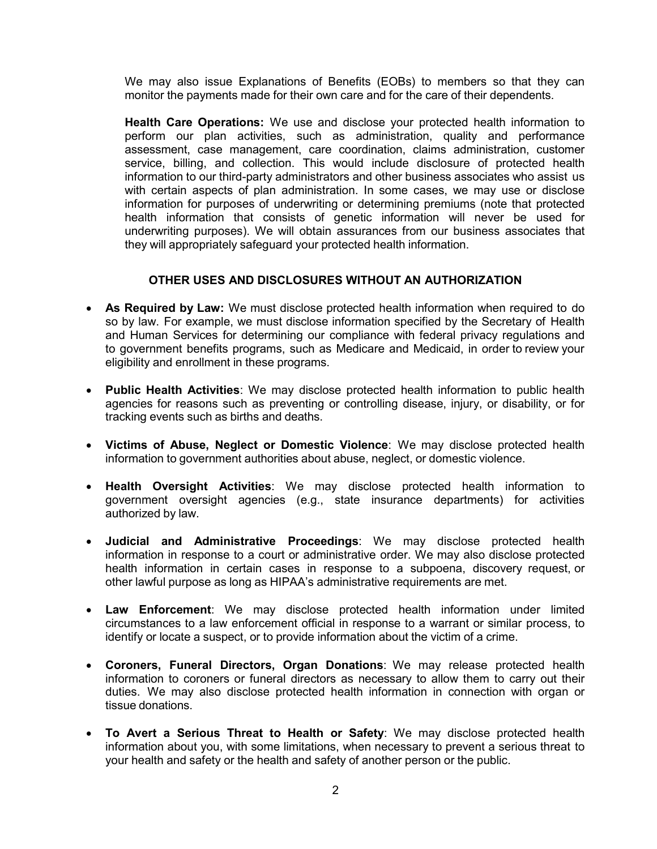We may also issue Explanations of Benefits (EOBs) to members so that they can monitor the payments made for their own care and for the care of their dependents.

Health Care Operations: We use and disclose your protected health information to perform our plan activities, such as administration, quality and performance assessment, case management, care coordination, claims administration, customer service, billing, and collection. This would include disclosure of protected health information to our third-party administrators and other business associates who assist us with certain aspects of plan administration. In some cases, we may use or disclose information for purposes of underwriting or determining premiums (note that protected health information that consists of genetic information will never be used for underwriting purposes). We will obtain assurances from our business associates that they will appropriately safeguard your protected health information.

#### OTHER USES AND DISCLOSURES WITHOUT AN AUTHORIZATION

- As Required by Law: We must disclose protected health information when required to do so by law. For example, we must disclose information specified by the Secretary of Health and Human Services for determining our compliance with federal privacy regulations and to government benefits programs, such as Medicare and Medicaid, in order to review your eligibility and enrollment in these programs.
- Public Health Activities: We may disclose protected health information to public health agencies for reasons such as preventing or controlling disease, injury, or disability, or for tracking events such as births and deaths.
- Victims of Abuse, Neglect or Domestic Violence: We may disclose protected health information to government authorities about abuse, neglect, or domestic violence.
- Health Oversight Activities: We may disclose protected health information to government oversight agencies (e.g., state insurance departments) for activities authorized by law.
- Judicial and Administrative Proceedings: We may disclose protected health information in response to a court or administrative order. We may also disclose protected health information in certain cases in response to a subpoena, discovery request or other lawful purpose as long as HIPAA's administrative requirements are met.
- Law Enforcement: We may disclose protected health information under limited circumstances to a law enforcement official in response to a warrant or similar process, to identify or locate a suspect, or to provide information about the victim of a crime.
- Coroners, Funeral Directors, Organ Donations: We may release protected health information to coroners or funeral directors as necessary to allow them to carry out their duties. We may also disclose protected health information in connection with organ or tissue donations.
- To Avert a Serious Threat to Health or Safety: We may disclose protected health information about you, with some limitations, when necessary to prevent a serious threat to your health and safety or the health and safety of another person or the public.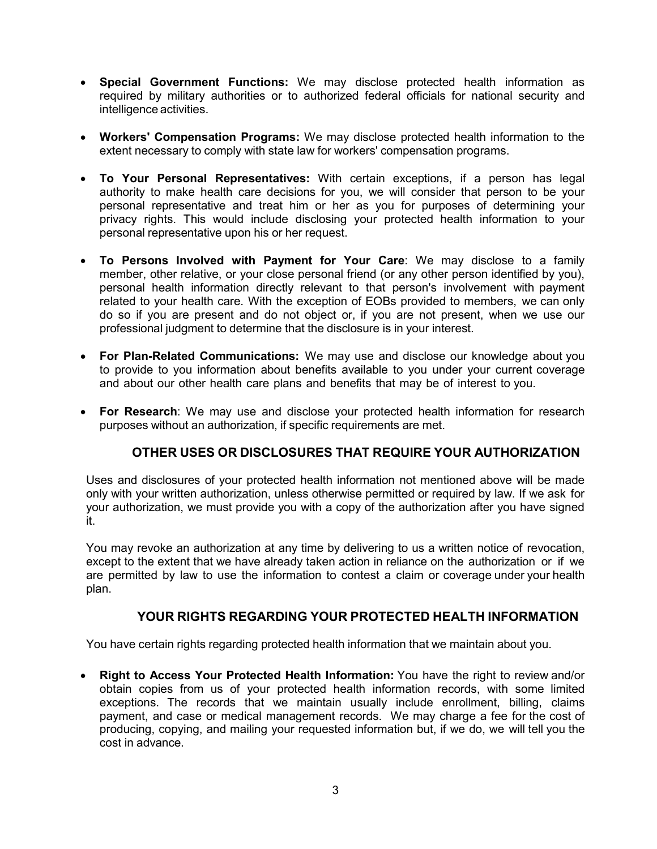- Special Government Functions: We may disclose protected health information as required by military authorities or to authorized federal officials for national security and intelligence activities.
- Workers' Compensation Programs: We may disclose protected health information to the extent necessary to comply with state law for workers' compensation programs.
- To Your Personal Representatives: With certain exceptions, if a person has legal authority to make health care decisions for you, we will consider that person to be your personal representative and treat him or her as you for purposes of determining your privacy rights. This would include disclosing your protected health information to your personal representative upon his or her request.
- . To Persons Involved with Payment for Your Care: We may disclose to a family member, other relative, or your close personal friend (or any other person identified by you), personal health information directly relevant to that person's involvement with payment related to your health care. With the exception of EOBs provided to members, we can only do so if you are present and do not object or, if you are not present, when we use our professional judgment to determine that the disclosure is in your interest.
- For Plan-Related Communications: We may use and disclose our knowledge about you to provide to you information about benefits available to you under your current coverage and about our other health care plans and benefits that may be of interest to you.
- For Research: We may use and disclose your protected health information for research purposes without an authorization, if specific requirements are met.

## OTHER USES OR DISCLOSURES THAT REQUIRE YOUR AUTHORIZATION

Uses and disclosures of your protected health information not mentioned above will be made only with your written authorization, unless otherwise permitted or required by law. If we ask for your authorization, we must provide you with a copy of the authorization after you have signed it.

You may revoke an authorization at any time by delivering to us a written notice of revocation, except to the extent that we have already taken action in reliance on the authorization or if we are permitted by law to use the information to contest a claim or coverage under your health plan.

## YOUR RIGHTS REGARDING YOUR PROTECTED HEALTH INFORMATION

You have certain rights regarding protected health information that we maintain about you.

• Right to Access Your Protected Health Information: You have the right to review and/or obtain copies from us of your protected health information records, with some limited exceptions. The records that we maintain usually include enrollment, billing, claims payment, and case or medical management records. We may charge a fee for the cost of producing, copying, and mailing your requested information but, if we do, we will tell you the cost in advance.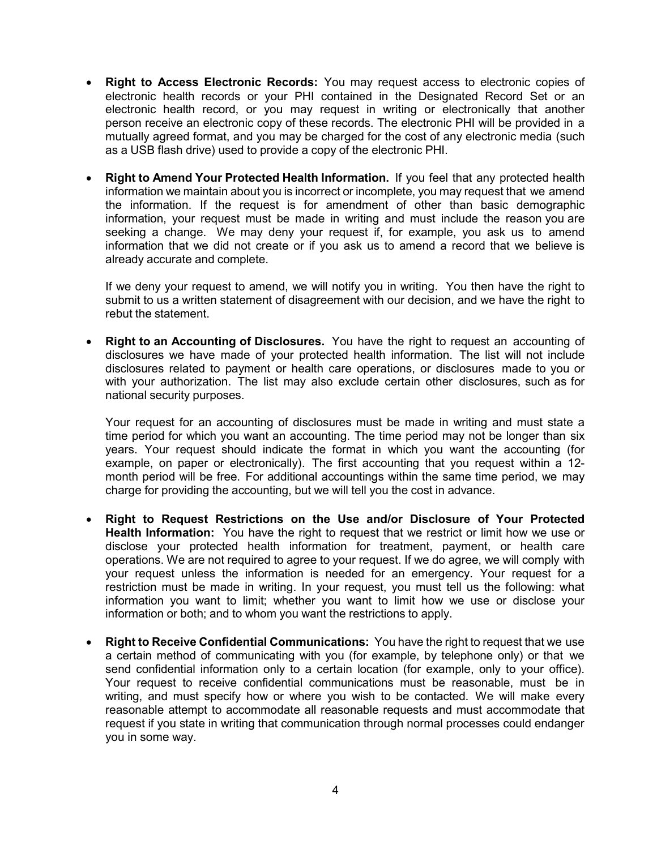- Right to Access Electronic Records: You may request access to electronic copies of electronic health records or your PHI contained in the Designated Record Set or an electronic health record, or you may request in writing or electronically that another person receive an electronic copy of these records. The electronic PHI will be provided in a mutually agreed format, and you may be charged for the cost of any electronic media (such as a USB flash drive) used to provide a copy of the electronic PHI.
- **Right to Amend Your Protected Health Information.** If you feel that any protected health information we maintain about you is incorrect or incomplete, you may request that we amend the information. If the request is for amendment of other than basic demographic information, your request must be made in writing and must include the reason you are seeking a change. We may deny your request if, for example, you ask us to amend information that we did not create or if you ask us to amend a record that we believe is already accurate and complete.

If we deny your request to amend, we will notify you in writing. You then have the right to submit to us a written statement of disagreement with our decision, and we have the right to rebut the statement.

**Right to an Accounting of Disclosures.** You have the right to request an accounting of disclosures we have made of your protected health information. The list will not include disclosures related to payment or health care operations, or disclosures made to you or with your authorization. The list may also exclude certain other disclosures, such as for national security purposes.

Your request for an accounting of disclosures must be made in writing and must state a time period for which you want an accounting. The time period may not be longer than six years. Your request should indicate the format in which you want the accounting (for example, on paper or electronically). The first accounting that you request within a 12month period will be free. For additional accountings within the same time period, we may charge for providing the accounting, but we will tell you the cost in advance.

- Right to Request Restrictions on the Use and/or Disclosure of Your Protected **Health Information:** You have the right to request that we restrict or limit how we use or disclose your protected health information for treatment, payment, or health care operations. We are not required to agree to your request. If we do agree, we will comply with your request unless the information is needed for an emergency. Your request for a restriction must be made in writing. In your request, you must tell us the following: what information you want to limit; whether you want to limit how we use or disclose your information or both; and to whom you want the restrictions to apply.
- **Right to Receive Confidential Communications:** You have the right to request that we use a certain method of communicating with you (for example, by telephone only) or that we send confidential information only to a certain location (for example, only to your office). Your request to receive confidential communications must be reasonable, must be in writing, and must specify how or where you wish to be contacted. We will make every reasonable attempt to accommodate all reasonable requests and must accommodate that request if you state in writing that communication through normal processes could endanger you in some way.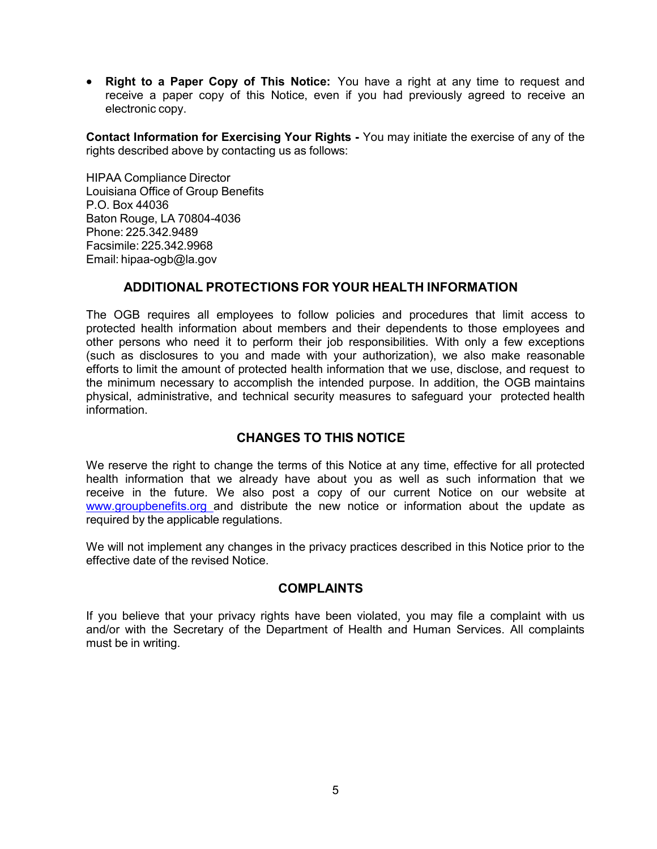• Right to a Paper Copy of This Notice: You have a right at any time to request and receive a paper copy of this Notice, even if you had previously agreed to receive an electronic copy.

Contact Information for Exercising Your Rights - You may initiate the exercise of any of the rights described above by contacting us as follows:

HIPAA Compliance Director Louisiana Office of Group Benefits P.O. Box 44036 Baton Rouge, LA 70804-4036 Phone: 225, 342, 9489 Facsimile: 225.342.9968 Email: hipaa-ogb@la.gov

## ADDITIONAL PROTECTIONS FOR YOUR HEALTH INFORMATION

The OGB requires all employees to follow policies and procedures that limit access to protected health information about members and their dependents to those employees and other persons who need it to perform their job responsibilities. With only a few exceptions  $S$  (such as disclosures to you and made with your authorization), we also make reasonable efforts to limit the amount of protected health information that we use, disclose, and request to the minimum necessary to accomplish the intended purpose. In addition, the OGB maintains physical, administrative, and technical security measures to safequard your protected health information.

## CHANGES TO THIS NOTICE

We reserve the right to change the terms of this Notice at any time, effective for all protected health information that we already have about you as well as such information that we receive in the future. We also post a copy of our current Notice on our website at www.groupbenefits.org and distribute the new notice or information about the update as required by the applicable requlations.

We will not implement any changes in the privacy practices described in this Notice prior to the effective date of the revised Notice.

## COMPLAINTS

If you believe that your privacy rights have been violated, you may file a complaint with us and/or with the Secretary of the Department of Health and Human Services. All complaints must be in writing.